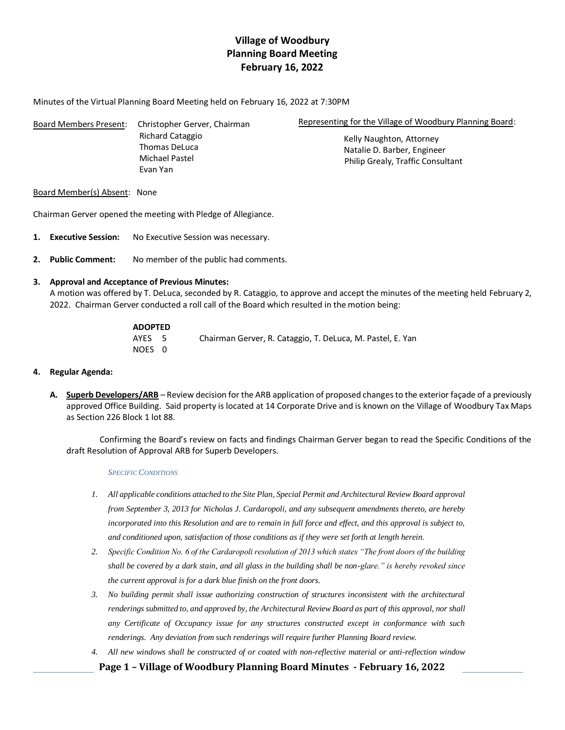# **Village of Woodbury Planning Board Meeting February 16, 2022**

Minutes of the Virtual Planning Board Meeting held on February 16, 2022 at 7:30PM

| Board Members Present: | Christopher Gerver, Chairman      | Representing for the Village of Woodbury Planning Board: |                |
|------------------------|-----------------------------------|----------------------------------------------------------|----------------|
|                        | Richard Cataggio<br>Thomas DeLuca | Kelly Naughton, Attorney<br>Natalie D. Barber, Engineer  |                |
|                        |                                   |                                                          | Michael Pastel |
|                        | Evan Yan                          |                                                          |                |

## Board Member(s) Absent: None

Chairman Gerver opened the meeting with Pledge of Allegiance.

- **1. Executive Session:** No Executive Session was necessary.
- **2. Public Comment:** No member of the public had comments.

## **3. Approval and Acceptance of Previous Minutes:**

A motion was offered by T. DeLuca, seconded by R. Cataggio, to approve and accept the minutes of the meeting held February 2, 2022. Chairman Gerver conducted a roll call of the Board which resulted in the motion being:

## **ADOPTED** AYES 5 Chairman Gerver, R. Cataggio, T. DeLuca, M. Pastel, E. Yan NOES 0

## **4. Regular Agenda:**

**A. Superb Developers/ARB** – Review decision for the ARB application of proposed changes to the exterior façade of a previously approved Office Building. Said property is located at 14 Corporate Drive and is known on the Village of Woodbury Tax Maps as Section 226 Block 1 lot 88.

Confirming the Board's review on facts and findings Chairman Gerver began to read the Specific Conditions of the draft Resolution of Approval ARB for Superb Developers.

### *SPECIFIC CONDITIONS*

- *1. All applicable conditions attached to the Site Plan, Special Permit and Architectural Review Board approval from September 3, 2013 for Nicholas J. Cardaropoli, and any subsequent amendments thereto, are hereby incorporated into this Resolution and are to remain in full force and effect, and this approval is subject to, and conditioned upon, satisfaction of those conditions as if they were set forth at length herein.*
- *2. Specific Condition No. 6 of the Cardaropoli resolution of 2013 which states "The front doors of the building shall be covered by a dark stain, and all glass in the building shall be non-glare." is hereby revoked since the current approval is for a dark blue finish on the front doors.*
- *3. No building permit shall issue authorizing construction of structures inconsistent with the architectural renderings submitted to, and approved by, the Architectural Review Board as part of this approval, nor shall any Certificate of Occupancy issue for any structures constructed except in conformance with such renderings. Any deviation from such renderings will require further Planning Board review.*
- *4. All new windows shall be constructed of or coated with non-reflective material or anti-reflection window* 
	- **Page 1 – Village of Woodbury Planning Board Minutes - February 16, 2022**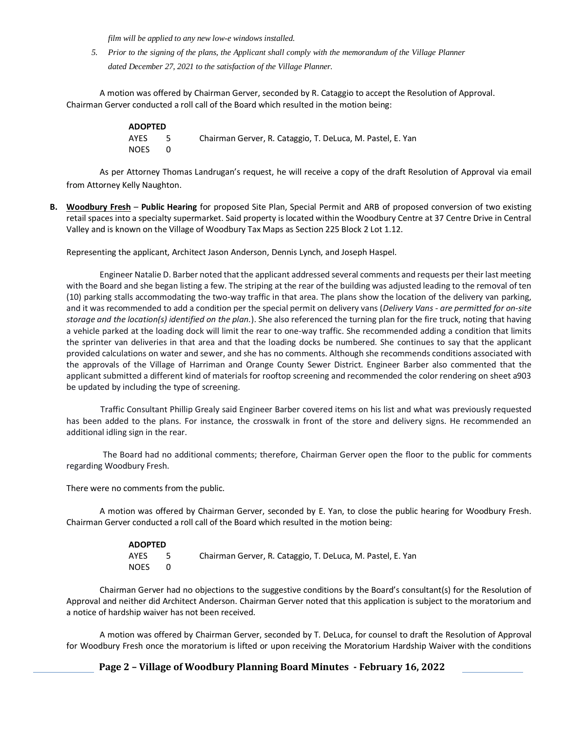*film will be applied to any new low-e windows installed.*

*5. Prior to the signing of the plans, the Applicant shall comply with the memorandum of the Village Planner dated December 27, 2021 to the satisfaction of the Village Planner.*

A motion was offered by Chairman Gerver, seconded by R. Cataggio to accept the Resolution of Approval. Chairman Gerver conducted a roll call of the Board which resulted in the motion being:

| <b>ADOPTED</b> |      |                                                            |
|----------------|------|------------------------------------------------------------|
| AYES           | $-5$ | Chairman Gerver, R. Cataggio, T. DeLuca, M. Pastel, E. Yan |
| <b>NOES</b>    |      |                                                            |

As per Attorney Thomas Landrugan's request, he will receive a copy of the draft Resolution of Approval via email from Attorney Kelly Naughton.

**B. Woodbury Fresh** – **Public Hearing** for proposed Site Plan, Special Permit and ARB of proposed conversion of two existing retail spaces into a specialty supermarket. Said property is located within the Woodbury Centre at 37 Centre Drive in Central Valley and is known on the Village of Woodbury Tax Maps as Section 225 Block 2 Lot 1.12.

Representing the applicant, Architect Jason Anderson, Dennis Lynch, and Joseph Haspel.

Engineer Natalie D. Barber noted that the applicant addressed several comments and requests per their last meeting with the Board and she began listing a few. The striping at the rear of the building was adjusted leading to the removal of ten (10) parking stalls accommodating the two-way traffic in that area. The plans show the location of the delivery van parking, and it was recommended to add a condition per the special permit on delivery vans (*Delivery Vans - are permitted for on-site storage and the location(s) identified on the plan.*). She also referenced the turning plan for the fire truck, noting that having a vehicle parked at the loading dock will limit the rear to one-way traffic. She recommended adding a condition that limits the sprinter van deliveries in that area and that the loading docks be numbered. She continues to say that the applicant provided calculations on water and sewer, and she has no comments. Although she recommends conditions associated with the approvals of the Village of Harriman and Orange County Sewer District. Engineer Barber also commented that the applicant submitted a different kind of materials for rooftop screening and recommended the color rendering on sheet a903 be updated by including the type of screening.

Traffic Consultant Phillip Grealy said Engineer Barber covered items on his list and what was previously requested has been added to the plans. For instance, the crosswalk in front of the store and delivery signs. He recommended an additional idling sign in the rear.

The Board had no additional comments; therefore, Chairman Gerver open the floor to the public for comments regarding Woodbury Fresh.

There were no comments from the public.

A motion was offered by Chairman Gerver, seconded by E. Yan, to close the public hearing for Woodbury Fresh. Chairman Gerver conducted a roll call of the Board which resulted in the motion being:

| <b>ADOPTED</b> |     |                                                            |
|----------------|-----|------------------------------------------------------------|
| AYES           | - 5 | Chairman Gerver, R. Cataggio, T. DeLuca, M. Pastel, E. Yan |
| <b>NOES</b>    |     |                                                            |

Chairman Gerver had no objections to the suggestive conditions by the Board's consultant(s) for the Resolution of Approval and neither did Architect Anderson. Chairman Gerver noted that this application is subject to the moratorium and a notice of hardship waiver has not been received.

A motion was offered by Chairman Gerver, seconded by T. DeLuca, for counsel to draft the Resolution of Approval for Woodbury Fresh once the moratorium is lifted or upon receiving the Moratorium Hardship Waiver with the conditions

**Page 2 – Village of Woodbury Planning Board Minutes - February 16, 2022**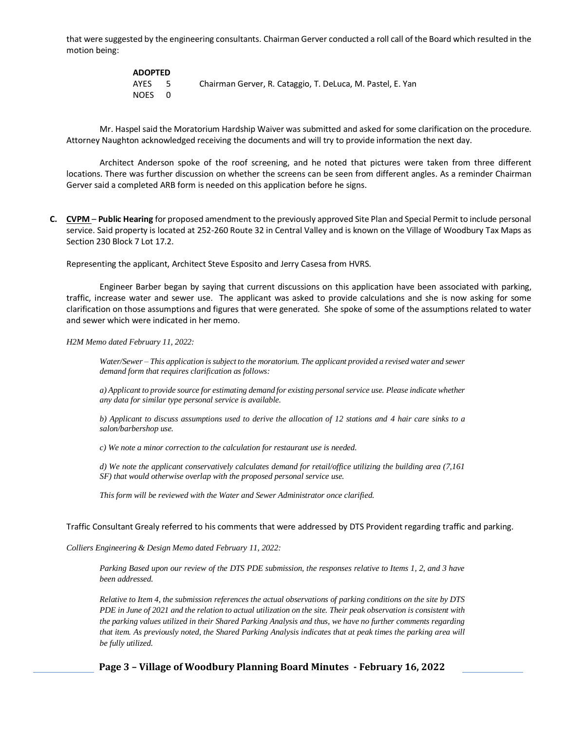that were suggested by the engineering consultants. Chairman Gerver conducted a roll call of the Board which resulted in the motion being:

| <b>ADOPTED</b> |     |                                                            |
|----------------|-----|------------------------------------------------------------|
| AYES           | - 5 | Chairman Gerver, R. Cataggio, T. DeLuca, M. Pastel, E. Yan |
| NOES 0         |     |                                                            |

Mr. Haspel said the Moratorium Hardship Waiver was submitted and asked for some clarification on the procedure. Attorney Naughton acknowledged receiving the documents and will try to provide information the next day.

Architect Anderson spoke of the roof screening, and he noted that pictures were taken from three different locations. There was further discussion on whether the screens can be seen from different angles. As a reminder Chairman Gerver said a completed ARB form is needed on this application before he signs.

**C. CVPM** – **Public Hearing** for proposed amendment to the previously approved Site Plan and Special Permit to include personal service. Said property is located at 252-260 Route 32 in Central Valley and is known on the Village of Woodbury Tax Maps as Section 230 Block 7 Lot 17.2.

Representing the applicant, Architect Steve Esposito and Jerry Casesa from HVRS.

Engineer Barber began by saying that current discussions on this application have been associated with parking, traffic, increase water and sewer use. The applicant was asked to provide calculations and she is now asking for some clarification on those assumptions and figures that were generated. She spoke of some of the assumptions related to water and sewer which were indicated in her memo.

*H2M Memo dated February 11, 2022:* 

*Water/Sewer – This application is subject to the moratorium. The applicant provided a revised water and sewer demand form that requires clarification as follows:* 

*a) Applicant to provide source for estimating demand for existing personal service use. Please indicate whether any data for similar type personal service is available.* 

*b) Applicant to discuss assumptions used to derive the allocation of 12 stations and 4 hair care sinks to a salon/barbershop use.* 

*c) We note a minor correction to the calculation for restaurant use is needed.* 

*d) We note the applicant conservatively calculates demand for retail/office utilizing the building area (7,161 SF) that would otherwise overlap with the proposed personal service use.* 

*This form will be reviewed with the Water and Sewer Administrator once clarified.* 

#### Traffic Consultant Grealy referred to his comments that were addressed by DTS Provident regarding traffic and parking.

*Colliers Engineering & Design Memo dated February 11, 2022:* 

*Parking Based upon our review of the DTS PDE submission, the responses relative to Items 1, 2, and 3 have been addressed.* 

*Relative to Item 4, the submission references the actual observations of parking conditions on the site by DTS PDE in June of 2021 and the relation to actual utilization on the site. Their peak observation is consistent with the parking values utilized in their Shared Parking Analysis and thus, we have no further comments regarding that item. As previously noted, the Shared Parking Analysis indicates that at peak times the parking area will be fully utilized.* 

**Page 3 – Village of Woodbury Planning Board Minutes - February 16, 2022**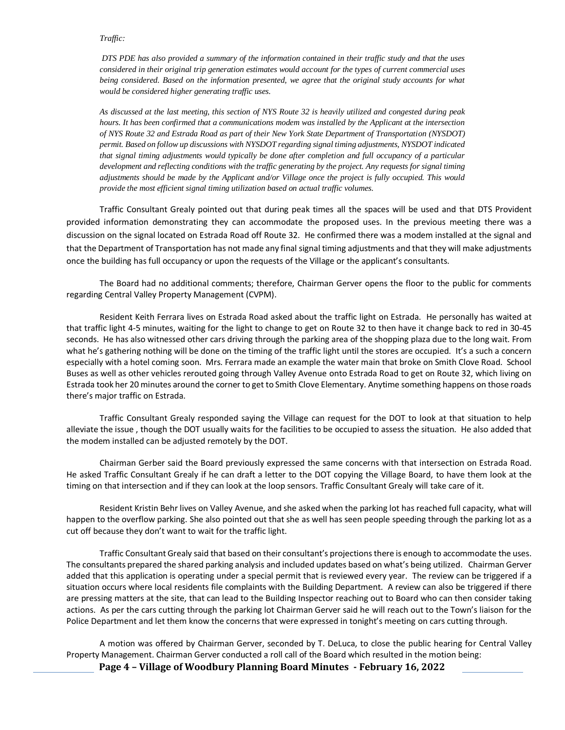### *Traffic:*

*DTS PDE has also provided a summary of the information contained in their traffic study and that the uses considered in their original trip generation estimates would account for the types of current commercial uses being considered. Based on the information presented, we agree that the original study accounts for what would be considered higher generating traffic uses.* 

*As discussed at the last meeting, this section of NYS Route 32 is heavily utilized and congested during peak hours. It has been confirmed that a communications modem was installed by the Applicant at the intersection of NYS Route 32 and Estrada Road as part of their New York State Department of Transportation (NYSDOT) permit. Based on follow up discussions with NYSDOT regarding signal timing adjustments, NYSDOT indicated that signal timing adjustments would typically be done after completion and full occupancy of a particular development and reflecting conditions with the traffic generating by the project. Any requests for signal timing adjustments should be made by the Applicant and/or Village once the project is fully occupied. This would provide the most efficient signal timing utilization based on actual traffic volumes.*

Traffic Consultant Grealy pointed out that during peak times all the spaces will be used and that DTS Provident provided information demonstrating they can accommodate the proposed uses. In the previous meeting there was a discussion on the signal located on Estrada Road off Route 32. He confirmed there was a modem installed at the signal and that the Department of Transportation has not made any final signal timing adjustments and that they will make adjustments once the building has full occupancy or upon the requests of the Village or the applicant's consultants.

The Board had no additional comments; therefore, Chairman Gerver opens the floor to the public for comments regarding Central Valley Property Management (CVPM).

Resident Keith Ferrara lives on Estrada Road asked about the traffic light on Estrada. He personally has waited at that traffic light 4-5 minutes, waiting for the light to change to get on Route 32 to then have it change back to red in 30-45 seconds. He has also witnessed other cars driving through the parking area of the shopping plaza due to the long wait. From what he's gathering nothing will be done on the timing of the traffic light until the stores are occupied. It's a such a concern especially with a hotel coming soon. Mrs. Ferrara made an example the water main that broke on Smith Clove Road. School Buses as well as other vehicles rerouted going through Valley Avenue onto Estrada Road to get on Route 32, which living on Estrada took her 20 minutes around the corner to get to Smith Clove Elementary. Anytime something happens on those roads there's major traffic on Estrada.

Traffic Consultant Grealy responded saying the Village can request for the DOT to look at that situation to help alleviate the issue , though the DOT usually waits for the facilities to be occupied to assess the situation. He also added that the modem installed can be adjusted remotely by the DOT.

Chairman Gerber said the Board previously expressed the same concerns with that intersection on Estrada Road. He asked Traffic Consultant Grealy if he can draft a letter to the DOT copying the Village Board, to have them look at the timing on that intersection and if they can look at the loop sensors. Traffic Consultant Grealy will take care of it.

Resident Kristin Behr lives on Valley Avenue, and she asked when the parking lot has reached full capacity, what will happen to the overflow parking. She also pointed out that she as well has seen people speeding through the parking lot as a cut off because they don't want to wait for the traffic light.

Traffic Consultant Grealy said that based on their consultant's projectionsthere is enough to accommodate the uses. The consultants prepared the shared parking analysis and included updates based on what's being utilized. Chairman Gerver added that this application is operating under a special permit that is reviewed every year. The review can be triggered if a situation occurs where local residents file complaints with the Building Department. A review can also be triggered if there are pressing matters at the site, that can lead to the Building Inspector reaching out to Board who can then consider taking actions. As per the cars cutting through the parking lot Chairman Gerver said he will reach out to the Town's liaison for the Police Department and let them know the concerns that were expressed in tonight's meeting on cars cutting through.

A motion was offered by Chairman Gerver, seconded by T. DeLuca, to close the public hearing for Central Valley Property Management. Chairman Gerver conducted a roll call of the Board which resulted in the motion being:

**Page 4 – Village of Woodbury Planning Board Minutes - February 16, 2022**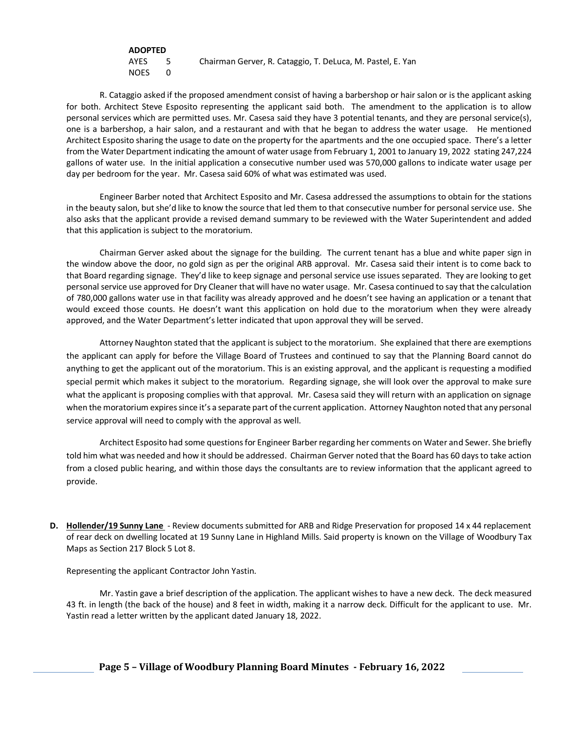| <b>ADOPTED</b> |      |                                                            |
|----------------|------|------------------------------------------------------------|
| AYES           | $-5$ | Chairman Gerver, R. Cataggio, T. DeLuca, M. Pastel, E. Yan |
| NOES           |      |                                                            |

R. Cataggio asked if the proposed amendment consist of having a barbershop or hair salon or is the applicant asking for both. Architect Steve Esposito representing the applicant said both. The amendment to the application is to allow personal services which are permitted uses. Mr. Casesa said they have 3 potential tenants, and they are personal service(s), one is a barbershop, a hair salon, and a restaurant and with that he began to address the water usage. He mentioned Architect Esposito sharing the usage to date on the property for the apartments and the one occupied space. There's a letter from the Water Department indicating the amount of water usage from February 1, 2001 to January 19, 2022 stating 247,224 gallons of water use. In the initial application a consecutive number used was 570,000 gallons to indicate water usage per day per bedroom for the year. Mr. Casesa said 60% of what was estimated was used.

Engineer Barber noted that Architect Esposito and Mr. Casesa addressed the assumptions to obtain for the stations in the beauty salon, but she'd like to know the source that led them to that consecutive number for personal service use. She also asks that the applicant provide a revised demand summary to be reviewed with the Water Superintendent and added that this application is subject to the moratorium.

Chairman Gerver asked about the signage for the building. The current tenant has a blue and white paper sign in the window above the door, no gold sign as per the original ARB approval. Mr. Casesa said their intent is to come back to that Board regarding signage. They'd like to keep signage and personal service use issues separated. They are looking to get personal service use approved for Dry Cleaner that will have no water usage. Mr. Casesa continued to say that the calculation of 780,000 gallons water use in that facility was already approved and he doesn't see having an application or a tenant that would exceed those counts. He doesn't want this application on hold due to the moratorium when they were already approved, and the Water Department's letter indicated that upon approval they will be served.

Attorney Naughton stated that the applicant is subject to the moratorium. She explained that there are exemptions the applicant can apply for before the Village Board of Trustees and continued to say that the Planning Board cannot do anything to get the applicant out of the moratorium. This is an existing approval, and the applicant is requesting a modified special permit which makes it subject to the moratorium. Regarding signage, she will look over the approval to make sure what the applicant is proposing complies with that approval. Mr. Casesa said they will return with an application on signage when the moratorium expires since it's a separate part of the current application. Attorney Naughton noted that any personal service approval will need to comply with the approval as well.

Architect Esposito had some questions for Engineer Barber regarding her comments on Water and Sewer. She briefly told him what was needed and how it should be addressed. Chairman Gerver noted that the Board has 60 days to take action from a closed public hearing, and within those days the consultants are to review information that the applicant agreed to provide.

**D. Hollender/19 Sunny Lane** - Review documents submitted for ARB and Ridge Preservation for proposed 14 x 44 replacement of rear deck on dwelling located at 19 Sunny Lane in Highland Mills. Said property is known on the Village of Woodbury Tax Maps as Section 217 Block 5 Lot 8.

Representing the applicant Contractor John Yastin.

Mr. Yastin gave a brief description of the application. The applicant wishes to have a new deck. The deck measured 43 ft. in length (the back of the house) and 8 feet in width, making it a narrow deck. Difficult for the applicant to use. Mr. Yastin read a letter written by the applicant dated January 18, 2022.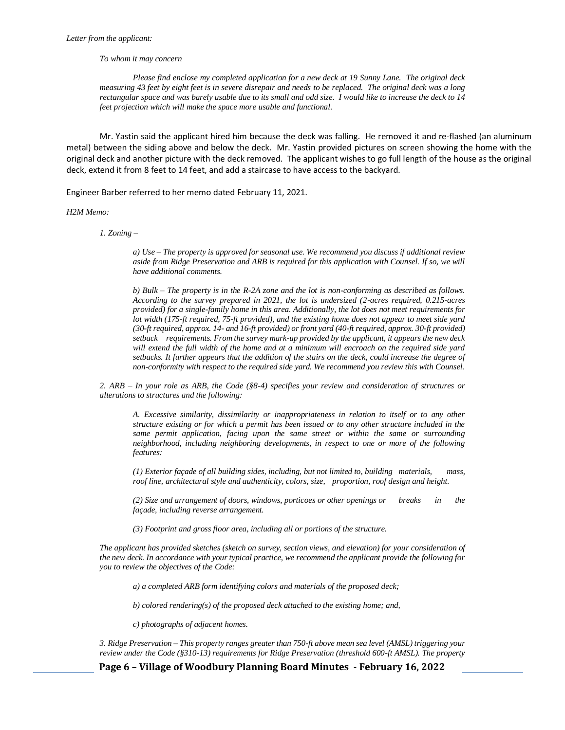*To whom it may concern*

*Please find enclose my completed application for a new deck at 19 Sunny Lane. The original deck measuring 43 feet by eight feet is in severe disrepair and needs to be replaced. The original deck was a long rectangular space and was barely usable due to its small and odd size. I would like to increase the deck to 14 feet projection which will make the space more usable and functional.* 

Mr. Yastin said the applicant hired him because the deck was falling. He removed it and re-flashed (an aluminum metal) between the siding above and below the deck. Mr. Yastin provided pictures on screen showing the home with the original deck and another picture with the deck removed. The applicant wishes to go full length of the house as the original deck, extend it from 8 feet to 14 feet, and add a staircase to have access to the backyard.

Engineer Barber referred to her memo dated February 11, 2021.

#### *H2M Memo:*

*1. Zoning –*

*a) Use – The property is approved for seasonal use. We recommend you discuss if additional review aside from Ridge Preservation and ARB is required for this application with Counsel. If so, we will have additional comments.* 

*b) Bulk – The property is in the R-2A zone and the lot is non-conforming as described as follows. According to the survey prepared in 2021, the lot is undersized (2-acres required, 0.215-acres provided) for a single-family home in this area. Additionally, the lot does not meet requirements for lot width (175-ft required, 75-ft provided), and the existing home does not appear to meet side yard (30-ft required, approx. 14- and 16-ft provided) or front yard (40-ft required, approx. 30-ft provided) setback requirements. From the survey mark-up provided by the applicant, it appears the new deck will extend the full width of the home and at a minimum will encroach on the required side yard setbacks. It further appears that the addition of the stairs on the deck, could increase the degree of non-conformity with respect to the required side yard. We recommend you review this with Counsel.*

*2. ARB – In your role as ARB, the Code (§8-4) specifies your review and consideration of structures or alterations to structures and the following:* 

*A. Excessive similarity, dissimilarity or inappropriateness in relation to itself or to any other structure existing or for which a permit has been issued or to any other structure included in the same permit application, facing upon the same street or within the same or surrounding neighborhood, including neighboring developments, in respect to one or more of the following features:* 

*(1) Exterior façade of all building sides, including, but not limited to, building materials, mass, roof line, architectural style and authenticity, colors, size, proportion, roof design and height.* 

*(2) Size and arrangement of doors, windows, porticoes or other openings or breaks in the façade, including reverse arrangement.* 

*(3) Footprint and gross floor area, including all or portions of the structure.* 

*The applicant has provided sketches (sketch on survey, section views, and elevation) for your consideration of the new deck. In accordance with your typical practice, we recommend the applicant provide the following for you to review the objectives of the Code:* 

*a) a completed ARB form identifying colors and materials of the proposed deck;* 

*b) colored rendering(s) of the proposed deck attached to the existing home; and,* 

*c) photographs of adjacent homes.* 

*3. Ridge Preservation – This property ranges greater than 750-ft above mean sea level (AMSL) triggering your review under the Code (§310-13) requirements for Ridge Preservation (threshold 600-ft AMSL). The property* 

**Page 6 – Village of Woodbury Planning Board Minutes - February 16, 2022**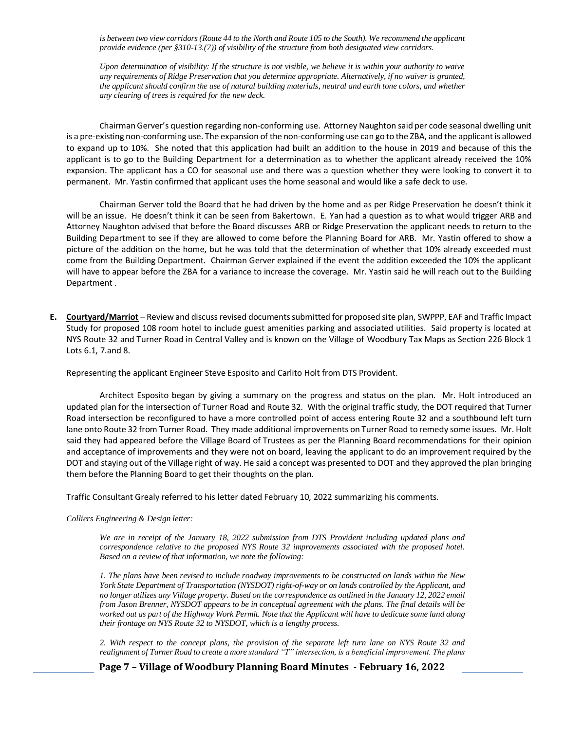is between two view corridors (Route 44 to the North and Route 105 to the South). We recommend the applicant *provide evidence (per §310-13.(7)) of visibility of the structure from both designated view corridors.* 

*Upon determination of visibility: If the structure is not visible, we believe it is within your authority to waive any requirements of Ridge Preservation that you determine appropriate. Alternatively, if no waiver is granted, the applicant should confirm the use of natural building materials, neutral and earth tone colors, and whether any clearing of trees is required for the new deck.*

Chairman Gerver's question regarding non-conforming use. Attorney Naughton said per code seasonal dwelling unit is a pre-existing non-conforming use. The expansion of the non-conforming use can go to the ZBA, and the applicant is allowed to expand up to 10%. She noted that this application had built an addition to the house in 2019 and because of this the applicant is to go to the Building Department for a determination as to whether the applicant already received the 10% expansion. The applicant has a CO for seasonal use and there was a question whether they were looking to convert it to permanent. Mr. Yastin confirmed that applicant uses the home seasonal and would like a safe deck to use.

Chairman Gerver told the Board that he had driven by the home and as per Ridge Preservation he doesn't think it will be an issue. He doesn't think it can be seen from Bakertown. E. Yan had a question as to what would trigger ARB and Attorney Naughton advised that before the Board discusses ARB or Ridge Preservation the applicant needs to return to the Building Department to see if they are allowed to come before the Planning Board for ARB. Mr. Yastin offered to show a picture of the addition on the home, but he was told that the determination of whether that 10% already exceeded must come from the Building Department. Chairman Gerver explained if the event the addition exceeded the 10% the applicant will have to appear before the ZBA for a variance to increase the coverage. Mr. Yastin said he will reach out to the Building Department .

**E. Courtyard/Marriot** – Review and discuss revised documents submitted for proposed site plan, SWPPP, EAF and Traffic Impact Study for proposed 108 room hotel to include guest amenities parking and associated utilities. Said property is located at NYS Route 32 and Turner Road in Central Valley and is known on the Village of Woodbury Tax Maps as Section 226 Block 1 Lots 6.1, 7.and 8.

Representing the applicant Engineer Steve Esposito and Carlito Holt from DTS Provident.

Architect Esposito began by giving a summary on the progress and status on the plan. Mr. Holt introduced an updated plan for the intersection of Turner Road and Route 32. With the original traffic study, the DOT required that Turner Road intersection be reconfigured to have a more controlled point of access entering Route 32 and a southbound left turn lane onto Route 32 from Turner Road. They made additional improvements on Turner Road to remedy some issues. Mr. Holt said they had appeared before the Village Board of Trustees as per the Planning Board recommendations for their opinion and acceptance of improvements and they were not on board, leaving the applicant to do an improvement required by the DOT and staying out of the Village right of way. He said a concept was presented to DOT and they approved the plan bringing them before the Planning Board to get their thoughts on the plan.

Traffic Consultant Grealy referred to his letter dated February 10, 2022 summarizing his comments.

#### *Colliers Engineering & Design letter:*

*We are in receipt of the January 18, 2022 submission from DTS Provident including updated plans and correspondence relative to the proposed NYS Route 32 improvements associated with the proposed hotel. Based on a review of that information, we note the following:* 

*1. The plans have been revised to include roadway improvements to be constructed on lands within the New York State Department of Transportation (NYSDOT) right-of-way or on lands controlled by the Applicant, and no longer utilizes any Village property. Based on the correspondence as outlined in the January 12, 2022 email from Jason Brenner, NYSDOT appears to be in conceptual agreement with the plans. The final details will be worked out as part of the Highway Work Permit. Note that the Applicant will have to dedicate some land along their frontage on NYS Route 32 to NYSDOT, which is a lengthy process.* 

*2. With respect to the concept plans, the provision of the separate left turn lane on NYS Route 32 and realignment of Turner Road to create a more standard "T" intersection, is a beneficial improvement. The plans* 

**Page 7 – Village of Woodbury Planning Board Minutes - February 16, 2022**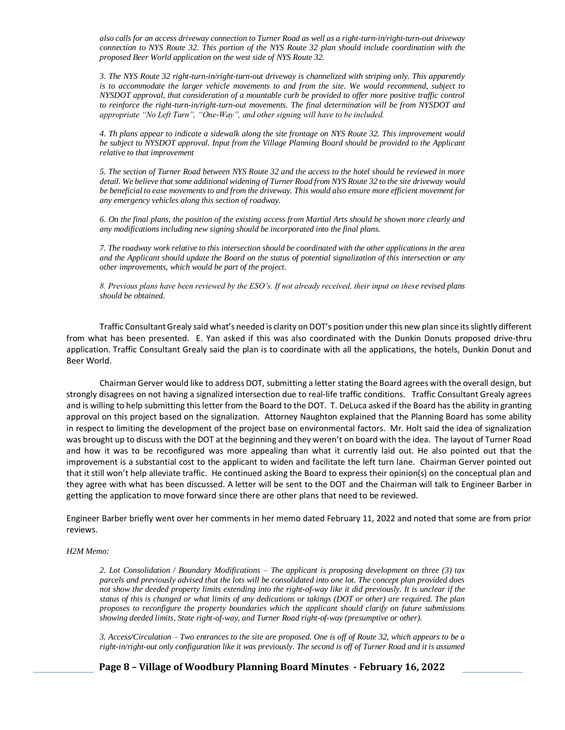*also calls for an access driveway connection to Turner Road as well as a right-turn-in/right-turn-out driveway connection to NYS Route 32. This portion of the NYS Route 32 plan should include coordination with the proposed Beer World application on the west side of NYS Route 32.* 

*3. The NYS Route 32 right-turn-in/right-turn-out driveway is channelized with striping only. This apparently is to accommodate the larger vehicle movements to and from the site. We would recommend, subject to NYSDOT approval, that consideration of a mountable curb be provided to offer more positive traffic control to reinforce the right-turn-in/right-turn-out movements. The final determination will be from NYSDOT and appropriate "No Left Turn", "One-Way", and other signing will have to be included.* 

*4. Th plans appear to indicate a sidewalk along the site frontage on NYS Route 32. This improvement would be subject to NYSDOT approval. Input from the Village Planning Board should be provided to the Applicant relative to that improvement*

*5. The section of Turner Road between NYS Route 32 and the access to the hotel should be reviewed in more detail. We believe that some additional widening of Turner Road from NYS Route 32 to the site driveway would be beneficial to ease movements to and from the driveway. This would also ensure more efficient movement for any emergency vehicles along this section of roadway.* 

*6. On the final plans, the position of the existing access from Martial Arts should be shown more clearly and any modifications including new signing should be incorporated into the final plans.* 

*7. The roadway work relative to this intersection should be coordinated with the other applications in the area and the Applicant should update the Board on the status of potential signalization of this intersection or any other improvements, which would be part of the project.* 

*8. Previous plans have been reviewed by the ESO's. If not already received, their input on these revised plans should be obtained.*

Traffic Consultant Grealy said what's needed is clarity on DOT's position under this new plan since its slightly different from what has been presented. E. Yan asked if this was also coordinated with the Dunkin Donuts proposed drive-thru application. Traffic Consultant Grealy said the plan is to coordinate with all the applications, the hotels, Dunkin Donut and Beer World.

Chairman Gerver would like to address DOT, submitting a letter stating the Board agrees with the overall design, but strongly disagrees on not having a signalized intersection due to real-life traffic conditions. Traffic Consultant Grealy agrees and is willing to help submitting this letter from the Board to the DOT. T. DeLuca asked if the Board has the ability in granting approval on this project based on the signalization. Attorney Naughton explained that the Planning Board has some ability in respect to limiting the development of the project base on environmental factors. Mr. Holt said the idea of signalization was brought up to discuss with the DOT at the beginning and they weren't on board with the idea. The layout of Turner Road and how it was to be reconfigured was more appealing than what it currently laid out. He also pointed out that the improvement is a substantial cost to the applicant to widen and facilitate the left turn lane. Chairman Gerver pointed out that it still won't help alleviate traffic. He continued asking the Board to express their opinion(s) on the conceptual plan and they agree with what has been discussed. A letter will be sent to the DOT and the Chairman will talk to Engineer Barber in getting the application to move forward since there are other plans that need to be reviewed.

Engineer Barber briefly went over her comments in her memo dated February 11, 2022 and noted that some are from prior reviews.

#### *H2M Memo:*

*2. Lot Consolidation / Boundary Modifications – The applicant is proposing development on three (3) tax parcels and previously advised that the lots will be consolidated into one lot. The concept plan provided does not show the deeded property limits extending into the right-of-way like it did previously. It is unclear if the status of this is changed or what limits of any dedications or takings (DOT or other) are required. The plan proposes to reconfigure the property boundaries which the applicant should clarify on future submissions showing deeded limits, State right-of-way, and Turner Road right-of-way (presumptive or other).*

*3. Access/Circulation – Two entrances to the site are proposed. One is off of Route 32, which appears to be a*  right-in/right-out only configuration like it was previously. The second is off of Turner Road and it is assumed

**Page 8 – Village of Woodbury Planning Board Minutes - February 16, 2022**